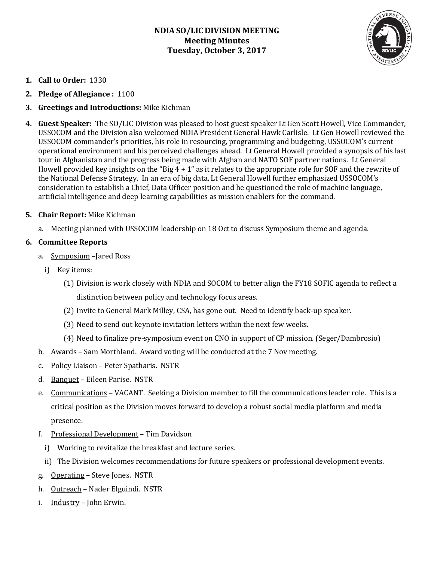# **NDIA SO/LIC DIVISION MEETING Meeting Minutes Tuesday, October 3, 2017**



- **1. Call to Order:** 1330
- **2. Pledge of Allegiance :** 1100

# **3. Greetings and Introductions:** Mike Kichman

**4. Guest Speaker:** The SO/LIC Division was pleased to host guest speaker Lt Gen Scott Howell, Vice Commander, USSOCOM and the Division also welcomed NDIA President General Hawk Carlisle. Lt Gen Howell reviewed the USSOCOM commander's priorities, his role in resourcing, programming and budgeting, USSOCOM's current operational environment and his perceived challenges ahead. Lt General Howell provided a synopsis of his last tour in Afghanistan and the progress being made with Afghan and NATO SOF partner nations. Lt General Howell provided key insights on the "Big 4 + 1" as it relates to the appropriate role for SOF and the rewrite of the National Defense Strategy. In an era of big data, Lt General Howell further emphasized USSOCOM's consideration to establish a Chief, Data Officer position and he questioned the role of machine language, artificial intelligence and deep learning capabilities as mission enablers for the command.

### **5. Chair Report:** Mike Kichman

a. Meeting planned with USSOCOM leadership on 18 Oct to discuss Symposium theme and agenda.

### **6. Committee Reports**

- a. Symposium –Jared Ross
	- i) Key items:
		- (1) Division is work closely with NDIA and SOCOM to better align the FY18 SOFIC agenda to reflect a distinction between policy and technology focus areas.
		- (2) Invite to General Mark Milley, CSA, has gone out. Need to identify back-up speaker.
		- (3) Need to send out keynote invitation letters within the next few weeks.
		- (4) Need to finalize pre-symposium event on CNO in support of CP mission. (Seger/Dambrosio)
- b. Awards Sam Morthland. Award voting will be conducted at the 7 Nov meeting.
- c. Policy Liaison Peter Spatharis. NSTR
- d. Banquet Eileen Parise. NSTR
- e. Communications VACANT. Seeking a Division member to fill the communications leader role. This is a critical position as the Division moves forward to develop a robust social media platform and media presence.
- f. Professional Development Tim Davidson
	- i) Working to revitalize the breakfast and lecture series.
	- ii) The Division welcomes recommendations for future speakers or professional development events.
- g. Operating Steve Jones. NSTR
- h. Outreach Nader Elguindi. NSTR
- i. Industry John Erwin.